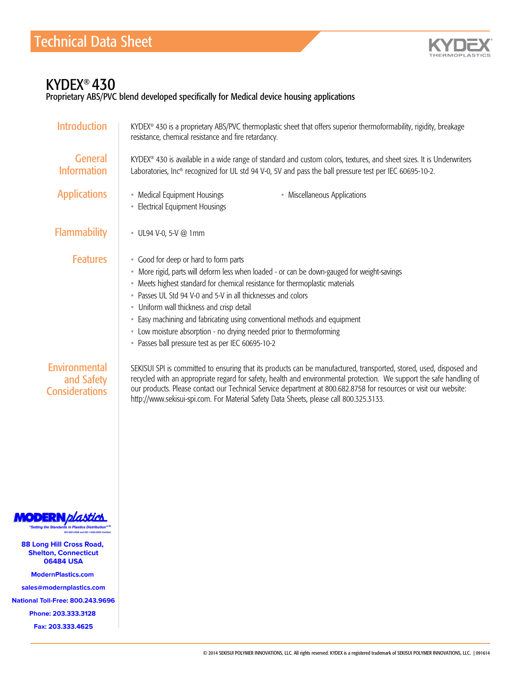

## KYDEX® 430

Proprietary ABS/PVC blend developed specifically for Medical device housing applications

| <b>Introduction</b>                                                                         | KYDEX® 430 is a proprietary ABS/PVC thermoplastic sheet that offers superior thermoformability, rigidity, breakage<br>resistance, chemical resistance and fire retardancy.                                                                                                                                                                                                                                                                                                                                                                 |
|---------------------------------------------------------------------------------------------|--------------------------------------------------------------------------------------------------------------------------------------------------------------------------------------------------------------------------------------------------------------------------------------------------------------------------------------------------------------------------------------------------------------------------------------------------------------------------------------------------------------------------------------------|
| <b>General</b><br><b>Information</b>                                                        | KYDEX® 430 is available in a wide range of standard and custom colors, textures, and sheet sizes. It is Underwriters<br>Laboratories, Inc® recognized for UL std 94 V-0, 5V and pass the ball pressure test per IEC 60695-10-2.                                                                                                                                                                                                                                                                                                            |
| <b>Applications</b>                                                                         | • Medical Equipment Housings<br>• Miscellaneous Applications<br>• Electrical Equipment Housings                                                                                                                                                                                                                                                                                                                                                                                                                                            |
| <b>Flammability</b>                                                                         | UL94 V-0, 5-V @ 1mm                                                                                                                                                                                                                                                                                                                                                                                                                                                                                                                        |
| <b>Features</b>                                                                             | • Good for deep or hard to form parts<br>· More rigid, parts will deform less when loaded - or can be down-gauged for weight-savings<br>• Meets highest standard for chemical resistance for thermoplastic materials<br>• Passes UL Std 94 V-0 and 5-V in all thicknesses and colors<br>• Uniform wall thickness and crisp detail<br>• Easy machining and fabricating using conventional methods and equipment<br>• Low moisture absorption - no drying needed prior to thermoforming<br>• Passes ball pressure test as per IEC 60695-10-2 |
| Environmental<br>and Safety<br><b>Considerations</b>                                        | SEKISUI SPI is committed to ensuring that its products can be manufactured, transported, stored, used, disposed and<br>recycled with an appropriate regard for safety, health and environmental protection. We support the safe handling of<br>our products. Please contact our Technical Service department at 800.682.8758 for resources or visit our website:<br>http://www.sekisui-spi.com. For Material Safety Data Sheets, please call 800.325.3133.                                                                                 |
| <b>Setting the Standards in Plastics Distribution</b><br>ISO 9001:2008 and ISO 13485:2003 O |                                                                                                                                                                                                                                                                                                                                                                                                                                                                                                                                            |
| <b>88 Long Hill Cross Road,</b><br><b>Shelton, Connecticut</b><br><b>06484 USA</b>          |                                                                                                                                                                                                                                                                                                                                                                                                                                                                                                                                            |
| <b>ModernPlastics.com</b>                                                                   |                                                                                                                                                                                                                                                                                                                                                                                                                                                                                                                                            |
| sales@modernplastics.com                                                                    |                                                                                                                                                                                                                                                                                                                                                                                                                                                                                                                                            |
| <b>National Toll-Free: 800.243.9696</b>                                                     |                                                                                                                                                                                                                                                                                                                                                                                                                                                                                                                                            |
| Phone: 203.333.3128                                                                         |                                                                                                                                                                                                                                                                                                                                                                                                                                                                                                                                            |
| Fax: 203.333.4625                                                                           |                                                                                                                                                                                                                                                                                                                                                                                                                                                                                                                                            |